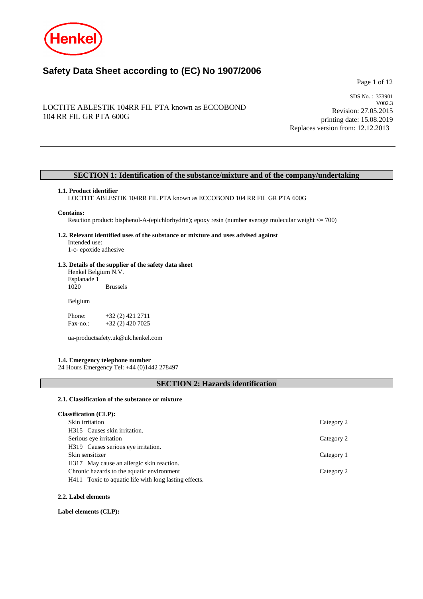

# **Safety Data Sheet according to (EC) No 1907/2006**

Page 1 of 12

# LOCTITE ABLESTIK 104RR FIL PTA known as ECCOBOND 104 RR FIL GR PTA 600G

SDS No. : 373901 V002.3 Revision: 27.05.2015 printing date: 15.08.2019 Replaces version from: 12.12.2013

# **SECTION 1: Identification of the substance/mixture and of the company/undertaking**

### **1.1. Product identifier**

LOCTITE ABLESTIK 104RR FIL PTA known as ECCOBOND 104 RR FIL GR PTA 600G

#### **Contains:**

Reaction product: bisphenol-A-(epichlorhydrin); epoxy resin (number average molecular weight <= 700)

#### **1.2. Relevant identified uses of the substance or mixture and uses advised against** Intended use:

1-c- epoxide adhesive

# **1.3. Details of the supplier of the safety data sheet**

Henkel Belgium N.V. Esplanade 1 **Brussels** 

Belgium

Phone: +32 (2) 421 2711<br>Fax-no.: +32 (2) 420 7025 +32 (2) 420 7025

ua-productsafety.uk@uk.henkel.com

### **1.4. Emergency telephone number**

24 Hours Emergency Tel: +44 (0)1442 278497

# **SECTION 2: Hazards identification**

#### **2.1. Classification of the substance or mixture**

| <b>Classification (CLP):</b> |  |
|------------------------------|--|
|------------------------------|--|

| Skin irritation                                       | Category 2 |
|-------------------------------------------------------|------------|
| H315 Causes skin irritation.                          |            |
| Serious eye irritation                                | Category 2 |
| H319 Causes serious eye irritation.                   |            |
| Skin sensitizer                                       | Category 1 |
| H317 May cause an allergic skin reaction.             |            |
| Chronic hazards to the aquatic environment            | Category 2 |
| H411 Toxic to aquatic life with long lasting effects. |            |
|                                                       |            |

#### **2.2. Label elements**

**Label elements (CLP):**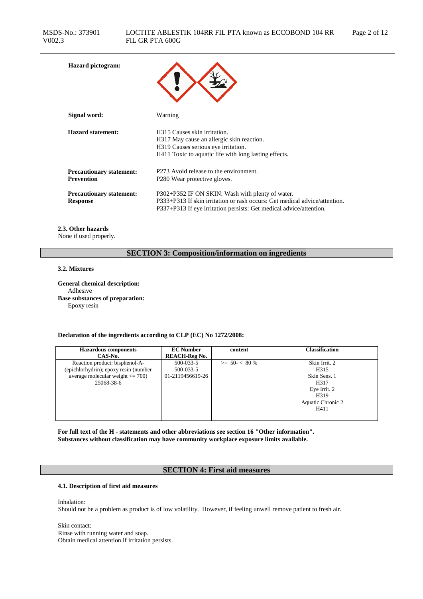| <b>Hazard</b> pictogram:                             |                                                                                                                                                                                                       |
|------------------------------------------------------|-------------------------------------------------------------------------------------------------------------------------------------------------------------------------------------------------------|
| Signal word:                                         | Warning                                                                                                                                                                                               |
| <b>Hazard statement:</b>                             | H <sub>3</sub> 15 Causes skin irritation.<br>H317 May cause an allergic skin reaction.<br>H319 Causes serious eye irritation.<br>H411 Toxic to aquatic life with long lasting effects.                |
| <b>Precautionary statement:</b><br><b>Prevention</b> | P273 Avoid release to the environment.<br>P <sub>280</sub> Wear protective gloves.                                                                                                                    |
| <b>Precautionary statement:</b><br><b>Response</b>   | P302+P352 IF ON SKIN: Wash with plenty of water.<br>P333+P313 If skin irritation or rash occurs: Get medical advice/attention.<br>P337+P313 If eye irritation persists: Get medical advice/attention. |

# **2.3. Other hazards**

None if used properly.

# **SECTION 3: Composition/information on ingredients**

### **3.2. Mixtures**

**General chemical description:** Adhesive **Base substances of preparation:** Epoxy resin

### **Declaration of the ingredients according to CLP (EC) No 1272/2008:**

| <b>Hazardous</b> components           | <b>EC</b> Number     | content          | <b>Classification</b> |
|---------------------------------------|----------------------|------------------|-----------------------|
| CAS-No.                               | <b>REACH-Reg No.</b> |                  |                       |
| Reaction product: bisphenol-A-        | 500-033-5            | $>= 50 - < 80 %$ | Skin Irrit. 2         |
| (epichlorhydrin); epoxy resin (number | 500-033-5            |                  | H315                  |
| average molecular weight $\leq$ 700)  | 01-2119456619-26     |                  | Skin Sens. 1          |
| 25068-38-6                            |                      |                  | H317                  |
|                                       |                      |                  | Eye Irrit. 2          |
|                                       |                      |                  | H319                  |
|                                       |                      |                  | Aquatic Chronic 2     |
|                                       |                      |                  | H411                  |
|                                       |                      |                  |                       |

**For full text of the H - statements and other abbreviations see section 16 "Other information". Substances without classification may have community workplace exposure limits available.**

# **SECTION 4: First aid measures**

# **4.1. Description of first aid measures**

Inhalation:

Should not be a problem as product is of low volatility. However, if feeling unwell remove patient to fresh air.

Skin contact: Rinse with running water and soap. Obtain medical attention if irritation persists.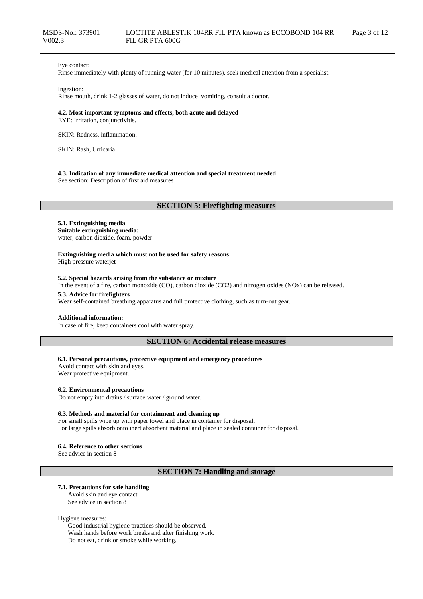### Eye contact:

Rinse immediately with plenty of running water (for 10 minutes), seek medical attention from a specialist.

#### Ingestion:

Rinse mouth, drink 1-2 glasses of water, do not induce vomiting, consult a doctor.

### **4.2. Most important symptoms and effects, both acute and delayed**

EYE: Irritation, conjunctivitis.

SKIN: Redness, inflammation.

SKIN: Rash, Urticaria.

#### **4.3. Indication of any immediate medical attention and special treatment needed**

See section: Description of first aid measures

# **SECTION 5: Firefighting measures**

#### **5.1. Extinguishing media Suitable extinguishing media:**

water, carbon dioxide, foam, powder

**Extinguishing media which must not be used for safety reasons:** High pressure waterjet

#### **5.2. Special hazards arising from the substance or mixture**

In the event of a fire, carbon monoxide (CO), carbon dioxide (CO2) and nitrogen oxides (NOx) can be released.

#### **5.3. Advice for firefighters**

Wear self-contained breathing apparatus and full protective clothing, such as turn-out gear.

### **Additional information:**

In case of fire, keep containers cool with water spray.

### **SECTION 6: Accidental release measures**

#### **6.1. Personal precautions, protective equipment and emergency procedures**

Avoid contact with skin and eyes. Wear protective equipment.

#### **6.2. Environmental precautions**

Do not empty into drains / surface water / ground water.

### **6.3. Methods and material for containment and cleaning up**

For small spills wipe up with paper towel and place in container for disposal. For large spills absorb onto inert absorbent material and place in sealed container for disposal.

#### **6.4. Reference to other sections**

See advice in section 8

# **SECTION 7: Handling and storage**

#### **7.1. Precautions for safe handling**

Avoid skin and eye contact. See advice in section 8

#### Hygiene measures:

Good industrial hygiene practices should be observed. Wash hands before work breaks and after finishing work. Do not eat, drink or smoke while working.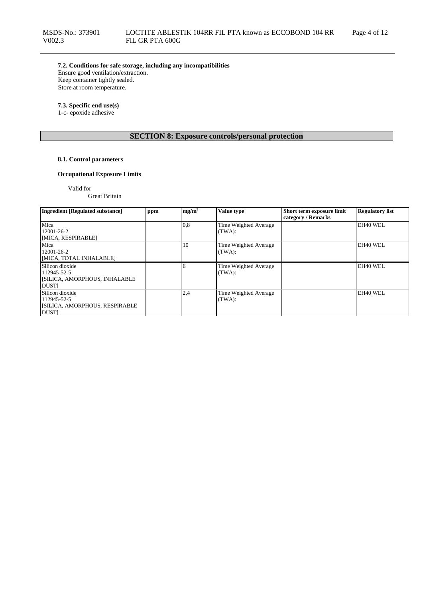**7.2. Conditions for safe storage, including any incompatibilities** Ensure good ventilation/extraction.

Keep container tightly sealed. Store at room temperature.

### **7.3. Specific end use(s)**

1-c- epoxide adhesive

# **SECTION 8: Exposure controls/personal protection**

# **8.1. Control parameters**

# **Occupational Exposure Limits**

Valid for

Great Britain

| <b>Ingredient [Regulated substance]</b>                                               | ppm | mg/m <sup>3</sup> | Value type                      | Short term exposure limit<br>category / Remarks | <b>Regulatory list</b> |
|---------------------------------------------------------------------------------------|-----|-------------------|---------------------------------|-------------------------------------------------|------------------------|
| Mica<br>12001-26-2<br>[MICA, RESPIRABLE]                                              |     | 0,8               | Time Weighted Average<br>(TWA): |                                                 | EH40 WEL               |
| Mica<br>12001-26-2<br>[MICA, TOTAL INHALABLE]                                         |     | 10                | Time Weighted Average<br>(TWA): |                                                 | EH40 WEL               |
| Silicon dioxide<br>112945-52-5<br><b>SILICA, AMORPHOUS, INHALABLE</b><br><b>DUSTI</b> |     |                   | Time Weighted Average<br>(TWA): |                                                 | EH40 WEL               |
| Silicon dioxide<br>112945-52-5<br><b>SILICA, AMORPHOUS, RESPIRABLE</b><br><b>DUST</b> |     | 2,4               | Time Weighted Average<br>(TWA): |                                                 | EH40 WEL               |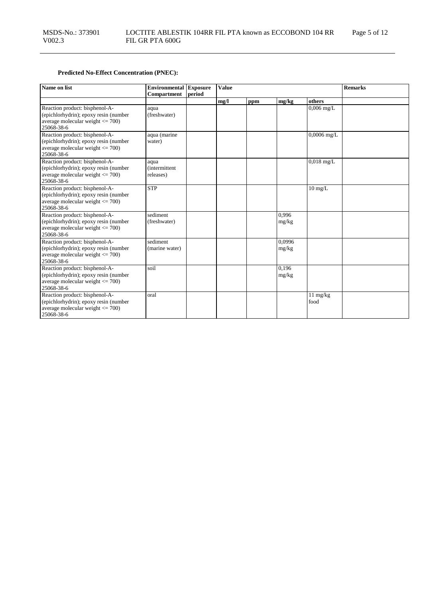# **Predicted No-Effect Concentration (PNEC):**

| Name on list                                                                                                                  | <b>Environmental</b> Exposure              |        | <b>Value</b> |     |                 |                            | <b>Remarks</b> |
|-------------------------------------------------------------------------------------------------------------------------------|--------------------------------------------|--------|--------------|-----|-----------------|----------------------------|----------------|
|                                                                                                                               | <b>Compartment</b>                         | period |              |     |                 |                            |                |
|                                                                                                                               |                                            |        | mg/l         | ppm | mg/kg           | others                     |                |
| Reaction product: bisphenol-A-<br>(epichlorhydrin); epoxy resin (number<br>average molecular weight $\leq$ 700)<br>25068-38-6 | aqua<br>(freshwater)                       |        |              |     |                 | $0,006$ mg/L               |                |
| Reaction product: bisphenol-A-<br>(epichlorhydrin); epoxy resin (number<br>average molecular weight $\leq$ 700)<br>25068-38-6 | aqua (marine<br>water)                     |        |              |     |                 | $0,0006$ mg/L              |                |
| Reaction product: bisphenol-A-<br>(epichlorhydrin); epoxy resin (number<br>average molecular weight $\leq$ 700)<br>25068-38-6 | aqua<br><i>(intermittent)</i><br>releases) |        |              |     |                 | $0,018$ mg/L               |                |
| Reaction product: bisphenol-A-<br>(epichlorhydrin); epoxy resin (number<br>average molecular weight $\leq$ 700)<br>25068-38-6 | <b>STP</b>                                 |        |              |     |                 | $10 \text{ mg/L}$          |                |
| Reaction product: bisphenol-A-<br>(epichlorhydrin); epoxy resin (number<br>average molecular weight $\leq$ 700)<br>25068-38-6 | sediment<br>(freshwater)                   |        |              |     | 0.996<br>mg/kg  |                            |                |
| Reaction product: bisphenol-A-<br>(epichlorhydrin); epoxy resin (number<br>average molecular weight $\leq$ 700)<br>25068-38-6 | sediment<br>(marine water)                 |        |              |     | 0,0996<br>mg/kg |                            |                |
| Reaction product: bisphenol-A-<br>(epichlorhydrin); epoxy resin (number<br>average molecular weight $\leq$ 700)<br>25068-38-6 | soil                                       |        |              |     | 0,196<br>mg/kg  |                            |                |
| Reaction product: bisphenol-A-<br>(epichlorhydrin); epoxy resin (number<br>average molecular weight $\leq$ 700)<br>25068-38-6 | oral                                       |        |              |     |                 | $11 \text{ mg/kg}$<br>food |                |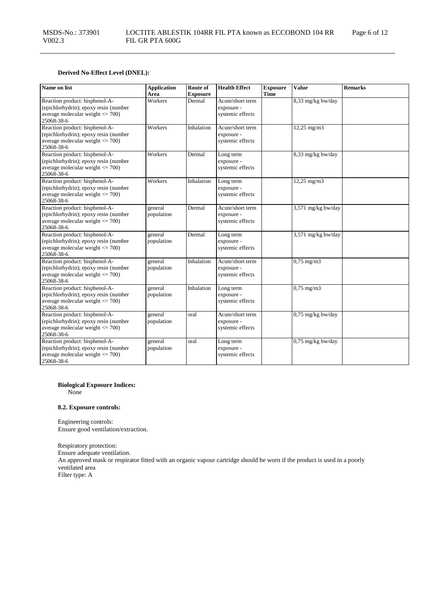# **Derived No-Effect Level (DNEL):**

| Name on list                                                                                                                  | <b>Application</b><br>Area | Route of<br><b>Exposure</b> | <b>Health Effect</b>                               | <b>Exposure</b><br><b>Time</b> | <b>Value</b>          | <b>Remarks</b> |
|-------------------------------------------------------------------------------------------------------------------------------|----------------------------|-----------------------------|----------------------------------------------------|--------------------------------|-----------------------|----------------|
| Reaction product: bisphenol-A-<br>(epichlorhydrin); epoxy resin (number<br>average molecular weight $\leq$ 700)<br>25068-38-6 | Workers                    | Dermal                      | Acute/short term<br>exposure -<br>systemic effects |                                | 8,33 mg/kg bw/day     |                |
| Reaction product: bisphenol-A-<br>(epichlorhydrin); epoxy resin (number<br>average molecular weight $\leq$ 700)<br>25068-38-6 | Workers                    | Inhalation                  | Acute/short term<br>exposure -<br>systemic effects |                                | 12,25 mg/m3           |                |
| Reaction product: bisphenol-A-<br>(epichlorhydrin); epoxy resin (number<br>average molecular weight $\leq$ 700)<br>25068-38-6 | Workers                    | Dermal                      | Long term<br>exposure -<br>systemic effects        |                                | 8,33 mg/kg bw/day     |                |
| Reaction product: bisphenol-A-<br>(epichlorhydrin); epoxy resin (number<br>average molecular weight $<= 700$ )<br>25068-38-6  | Workers                    | Inhalation                  | Long term<br>exposure -<br>systemic effects        |                                | 12,25 mg/m3           |                |
| Reaction product: bisphenol-A-<br>(epichlorhydrin); epoxy resin (number<br>average molecular weight $\leq$ 700)<br>25068-38-6 | general<br>population      | Dermal                      | Acute/short term<br>exposure -<br>systemic effects |                                | 3,571 mg/kg bw/day    |                |
| Reaction product: bisphenol-A-<br>(epichlorhydrin); epoxy resin (number<br>average molecular weight $\leq$ 700)<br>25068-38-6 | general<br>population      | Dermal                      | Long term<br>exposure -<br>systemic effects        |                                | 3,571 mg/kg bw/day    |                |
| Reaction product: bisphenol-A-<br>(epichlorhydrin); epoxy resin (number<br>average molecular weight $\leq$ 700)<br>25068-38-6 | general<br>population      | Inhalation                  | Acute/short term<br>exposure -<br>systemic effects |                                | $0,75$ mg/m $3$       |                |
| Reaction product: bisphenol-A-<br>(epichlorhydrin); epoxy resin (number<br>average molecular weight $\leq$ 700)<br>25068-38-6 | general<br>population      | Inhalation                  | Long term<br>exposure -<br>systemic effects        |                                | $0,75 \text{ mg/m}$ 3 |                |
| Reaction product: bisphenol-A-<br>(epichlorhydrin); epoxy resin (number<br>average molecular weight $\leq$ 700)<br>25068-38-6 | general<br>population      | oral                        | Acute/short term<br>exposure -<br>systemic effects |                                | $0,75$ mg/kg bw/day   |                |
| Reaction product: bisphenol-A-<br>(epichlorhydrin); epoxy resin (number<br>average molecular weight $\leq$ 700)<br>25068-38-6 | general<br>population      | oral                        | Long term<br>exposure -<br>systemic effects        |                                | $0,75$ mg/kg bw/day   |                |

# **Biological Exposure Indices:**

None

### **8.2. Exposure controls:**

Engineering controls: Ensure good ventilation/extraction.

Respiratory protection: Ensure adequate ventilation. An approved mask or respirator fitted with an organic vapour cartridge should be worn if the product is used in a poorly ventilated area Filter type: A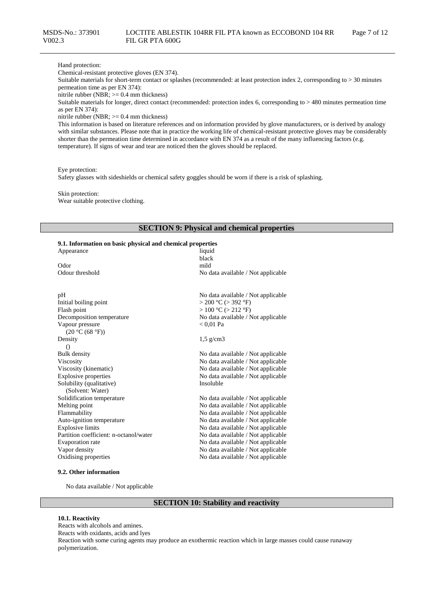### Hand protection:

Chemical-resistant protective gloves (EN 374).

Suitable materials for short-term contact or splashes (recommended: at least protection index 2, corresponding to > 30 minutes permeation time as per EN 374):

nitrile rubber (NBR; >= 0.4 mm thickness)

Suitable materials for longer, direct contact (recommended: protection index 6, corresponding to > 480 minutes permeation time as per EN 374):

nitrile rubber (NBR; >= 0.4 mm thickness)

This information is based on literature references and on information provided by glove manufacturers, or is derived by analogy with similar substances. Please note that in practice the working life of chemical-resistant protective gloves may be considerably shorter than the permeation time determined in accordance with EN 374 as a result of the many influencing factors (e.g. temperature). If signs of wear and tear are noticed then the gloves should be replaced.

Eye protection:

Safety glasses with sideshields or chemical safety goggles should be worn if there is a risk of splashing.

Skin protection: Wear suitable protective clothing.

### **SECTION 9: Physical and chemical properties**

#### **9.1. Information on basic physical and chemical properties**

| Appearance                             | liquid                             |
|----------------------------------------|------------------------------------|
|                                        | black                              |
| Odor                                   | mild                               |
| Odour threshold                        | No data available / Not applicable |
|                                        |                                    |
|                                        |                                    |
| pH                                     | No data available / Not applicable |
| Initial boiling point                  | $>$ 200 °C ( $>$ 392 °F)           |
| Flash point                            | $> 100$ °C ( $> 212$ °F)           |
| Decomposition temperature              | No data available / Not applicable |
| Vapour pressure                        | $< 0.01$ Pa                        |
| (20 °C (68 °F))                        |                                    |
| Density                                | $1.5$ g/cm3                        |
| $\Omega$                               |                                    |
| <b>Bulk density</b>                    | No data available / Not applicable |
| Viscosity                              | No data available / Not applicable |
| Viscosity (kinematic)                  | No data available / Not applicable |
| <b>Explosive properties</b>            | No data available / Not applicable |
| Solubility (qualitative)               | Insoluble                          |
| (Solvent: Water)                       |                                    |
| Solidification temperature             | No data available / Not applicable |
| Melting point                          | No data available / Not applicable |
| Flammability                           | No data available / Not applicable |
| Auto-ignition temperature              | No data available / Not applicable |
| <b>Explosive limits</b>                | No data available / Not applicable |
| Partition coefficient: n-octanol/water | No data available / Not applicable |
| Evaporation rate                       | No data available / Not applicable |
| Vapor density                          | No data available / Not applicable |
| Oxidising properties                   | No data available / Not applicable |
|                                        |                                    |

#### **9.2. Other information**

No data available / Not applicable

# **SECTION 10: Stability and reactivity**

#### **10.1. Reactivity**

Reacts with alcohols and amines. Reacts with oxidants, acids and lyes Reaction with some curing agents may produce an exothermic reaction which in large masses could cause runaway polymerization.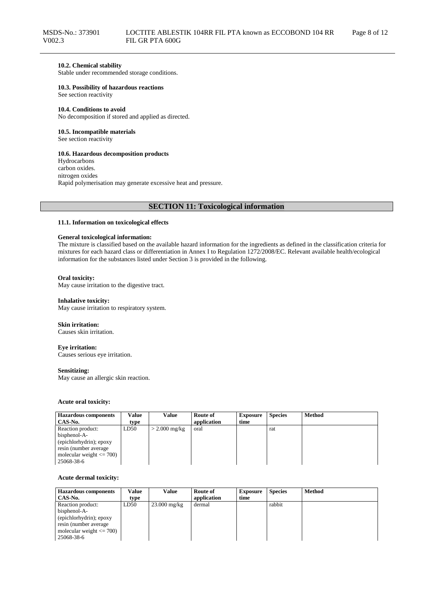# **10.2. Chemical stability**

Stable under recommended storage conditions.

### **10.3. Possibility of hazardous reactions**

See section reactivity

#### **10.4. Conditions to avoid**

No decomposition if stored and applied as directed.

### **10.5. Incompatible materials**

See section reactivity

### **10.6. Hazardous decomposition products**

Hydrocarbons carbon oxides. nitrogen oxides Rapid polymerisation may generate excessive heat and pressure.

# **SECTION 11: Toxicological information**

### **11.1. Information on toxicological effects**

### **General toxicological information:**

The mixture is classified based on the available hazard information for the ingredients as defined in the classification criteria for mixtures for each hazard class or differentiation in Annex I to Regulation 1272/2008/EC. Relevant available health/ecological information for the substances listed under Section 3 is provided in the following.

#### **Oral toxicity:**

May cause irritation to the digestive tract.

#### **Inhalative toxicity:**

May cause irritation to respiratory system.

#### **Skin irritation:**

Causes skin irritation.

#### **Eye irritation:**

Causes serious eye irritation.

#### **Sensitizing:**

May cause an allergic skin reaction.

### **Acute oral toxicity:**

| <b>Hazardous components</b>  | Value | Value           | Route of    | <b>Exposure</b> | <b>Species</b> | <b>Method</b> |
|------------------------------|-------|-----------------|-------------|-----------------|----------------|---------------|
| CAS-No.                      | type  |                 | application | time            |                |               |
| Reaction product:            | LD50  | $>$ 2.000 mg/kg | oral        |                 | rat            |               |
| bisphenol-A-                 |       |                 |             |                 |                |               |
| (epichlorhydrin); epoxy      |       |                 |             |                 |                |               |
| resin (number average)       |       |                 |             |                 |                |               |
| molecular weight $\leq$ 700) |       |                 |             |                 |                |               |
| 25068-38-6                   |       |                 |             |                 |                |               |

### **Acute dermal toxicity:**

| <b>Hazardous components</b>  | Value | Value          | Route of    | <b>Exposure</b> | <b>Species</b> | <b>Method</b> |
|------------------------------|-------|----------------|-------------|-----------------|----------------|---------------|
| CAS-No.                      | type  |                | application | time            |                |               |
| Reaction product:            | LD50  | $23.000$ mg/kg | dermal      |                 | rabbit         |               |
| bisphenol-A-                 |       |                |             |                 |                |               |
| (epichlorhydrin); epoxy      |       |                |             |                 |                |               |
| resin (number average        |       |                |             |                 |                |               |
| molecular weight $\leq$ 700) |       |                |             |                 |                |               |
| 25068-38-6                   |       |                |             |                 |                |               |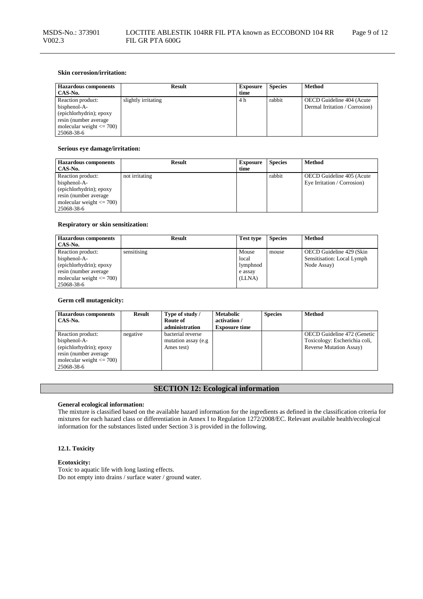| <b>Hazardous components</b><br>CAS-No.                                                                                              | <b>Result</b>       | <b>Exposure</b><br>time | <b>Species</b> | Method                                                      |
|-------------------------------------------------------------------------------------------------------------------------------------|---------------------|-------------------------|----------------|-------------------------------------------------------------|
| Reaction product:<br>bisphenol-A-<br>(epichlorhydrin); epoxy<br>resin (number average<br>molecular weight $\leq$ 700)<br>25068-38-6 | slightly irritating | 4 h                     | rabbit         | OECD Guideline 404 (Acute<br>Dermal Irritation / Corrosion) |

### **Serious eye damage/irritation:**

| <b>Hazardous components</b>  | <b>Result</b>  | <b>Exposure</b> | <b>Species</b> | <b>Method</b>               |
|------------------------------|----------------|-----------------|----------------|-----------------------------|
| CAS-No.                      |                | time            |                |                             |
| Reaction product:            | not irritating |                 | rabbit         | OECD Guideline 405 (Acute   |
| bisphenol-A-                 |                |                 |                | Eye Irritation / Corrosion) |
| (epichlorhydrin); epoxy      |                |                 |                |                             |
| resin (number average        |                |                 |                |                             |
| molecular weight $\leq$ 700) |                |                 |                |                             |
| 25068-38-6                   |                |                 |                |                             |

### **Respiratory or skin sensitization:**

| <b>Hazardous components</b><br>CAS-No. | <b>Result</b> | <b>Test type</b> | <b>Species</b> | <b>Method</b>              |
|----------------------------------------|---------------|------------------|----------------|----------------------------|
| Reaction product:                      | sensitising   | Mouse            | mouse          | OECD Guideline 429 (Skin   |
| bisphenol-A-                           |               | local            |                | Sensitisation: Local Lymph |
| (epichlorhydrin); epoxy                |               | lymphnod         |                | Node Assay)                |
| resin (number average                  |               | e assay          |                |                            |
| molecular weight $\leq$ 700)           |               | (LLNA)           |                |                            |
| 25068-38-6                             |               |                  |                |                            |

### **Germ cell mutagenicity:**

| <b>Hazardous components</b><br>CAS-No.                                                                                               | Result   | Type of study /<br>Route of<br>administration           | <b>Metabolic</b><br>activation /<br><b>Exposure time</b> | <b>Species</b> | Method                                                                                          |
|--------------------------------------------------------------------------------------------------------------------------------------|----------|---------------------------------------------------------|----------------------------------------------------------|----------------|-------------------------------------------------------------------------------------------------|
| Reaction product:<br>bisphenol-A-<br>(epichlorhydrin); epoxy<br>resin (number average)<br>molecular weight $\leq$ 700)<br>25068-38-6 | negative | bacterial reverse<br>mutation assay (e.g.<br>Ames test) |                                                          |                | OECD Guideline 472 (Genetic<br>Toxicology: Escherichia coli,<br><b>Reverse Mutation Assay</b> ) |

# **SECTION 12: Ecological information**

### **General ecological information:**

The mixture is classified based on the available hazard information for the ingredients as defined in the classification criteria for mixtures for each hazard class or differentiation in Annex I to Regulation 1272/2008/EC. Relevant available health/ecological information for the substances listed under Section 3 is provided in the following.

# **12.1. Toxicity**

### **Ecotoxicity:**

Toxic to aquatic life with long lasting effects. Do not empty into drains / surface water / ground water.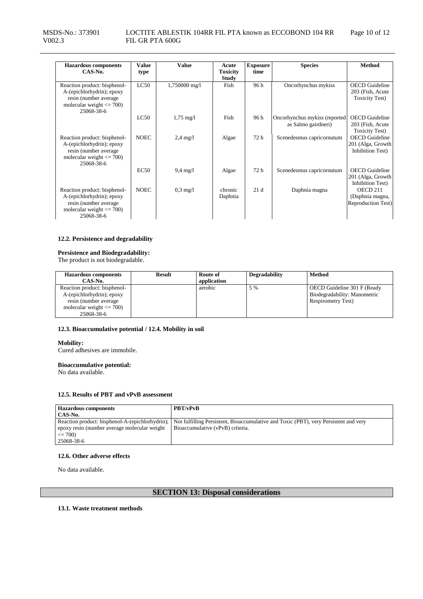| <b>Hazardous</b> components<br>CAS-No.                                                                                            | <b>Value</b><br>type | <b>Value</b>        | Acute<br><b>Toxicity</b> | <b>Exposure</b><br>time | <b>Species</b>                                       | <b>Method</b>                                                        |
|-----------------------------------------------------------------------------------------------------------------------------------|----------------------|---------------------|--------------------------|-------------------------|------------------------------------------------------|----------------------------------------------------------------------|
|                                                                                                                                   |                      |                     | <b>Study</b>             |                         |                                                      |                                                                      |
| Reaction product: bisphenol-<br>A-(epichlorhydrin); epoxy<br>resin (number average)<br>molecular weight $\leq$ 700)<br>25068-38-6 | LC50                 | 1,750000 mg/l       | Fish                     | 96 h                    | Oncorhynchus mykiss                                  | <b>OECD</b> Guideline<br>203 (Fish, Acute)<br><b>Toxicity Test</b> ) |
|                                                                                                                                   | LC50                 | $1,75 \text{ mg}/1$ | Fish                     | 96 h                    | Oncorhynchus mykiss (reported<br>as Salmo gairdneri) | <b>OECD</b> Guideline<br>203 (Fish, Acute)<br><b>Toxicity Test</b> ) |
| Reaction product: bisphenol-<br>A-(epichlorhydrin); epoxy<br>resin (number average)<br>molecular weight $\leq$ 700)<br>25068-38-6 | <b>NOEC</b>          | $2.4 \text{ mg}/1$  | Algae                    | 72 h                    | Scenedesmus capricornutum                            | <b>OECD</b> Guideline<br>201 (Alga, Growth<br>Inhibition Test)       |
|                                                                                                                                   | EC50                 | $9,4 \text{ mg}/1$  | Algae                    | 72 h                    | Scenedesmus capricornutum                            | <b>OECD</b> Guideline<br>201 (Alga, Growth<br>Inhibition Test)       |
| Reaction product: bisphenol-<br>A-(epichlorhydrin); epoxy<br>resin (number average)<br>molecular weight $\leq$ 700)<br>25068-38-6 | <b>NOEC</b>          | $0.3 \text{ mg}/1$  | chronic<br>Daphnia       | 21d                     | Daphnia magna                                        | OECD 211<br>(Daphnia magna,<br>Reproduction Test)                    |

# **12.2. Persistence and degradability**

# **Persistence and Biodegradability:**

The product is not biodegradable.

| <b>Hazardous components</b><br>CAS-No.                                                                              | Result | Route of<br>application | <b>Degradability</b> | <b>Method</b>                                                                            |
|---------------------------------------------------------------------------------------------------------------------|--------|-------------------------|----------------------|------------------------------------------------------------------------------------------|
| Reaction product: bisphenol-<br>A-(epichlorhydrin); epoxy<br>resin (number average)<br>molecular weight $\leq$ 700) |        | aerobic                 | 5 %                  | OECD Guideline 301 F (Ready<br>Biodegradability: Manometric<br><b>Respirometry Test)</b> |
| 25068-38-6                                                                                                          |        |                         |                      |                                                                                          |

### **12.3. Bioaccumulative potential / 12.4. Mobility in soil**

#### **Mobility:**

Cured adhesives are immobile.

### **Bioaccumulative potential:**

No data available.

### **12.5. Results of PBT and vPvB assessment**

| <b>Hazardous components</b>                     | <b>PBT/vPvB</b>                                                                      |
|-------------------------------------------------|--------------------------------------------------------------------------------------|
| CAS-No.                                         |                                                                                      |
| Reaction product: bisphenol-A-(epichlorhydrin); | Not fulfilling Persistent, Bioaccumulative and Toxic (PBT), very Persistent and very |
| epoxy resin (number average molecular weight)   | Bioaccumulative (vPvB) criteria.                                                     |
| $\leq$ 700)                                     |                                                                                      |
| 25068-38-6                                      |                                                                                      |

# **12.6. Other adverse effects**

No data available.

# **SECTION 13: Disposal considerations**

**13.1. Waste treatment methods**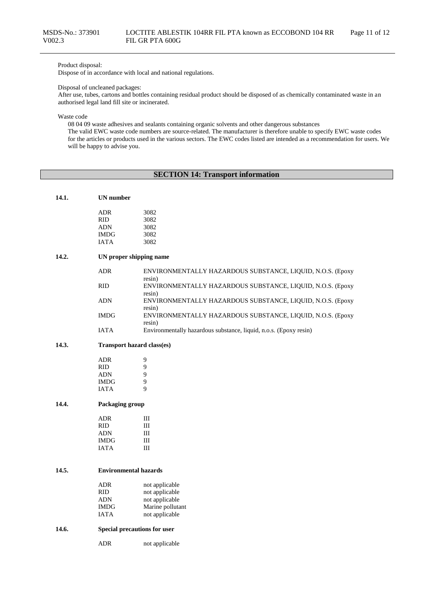# Product disposal:

Dispose of in accordance with local and national regulations.

#### Disposal of uncleaned packages:

After use, tubes, cartons and bottles containing residual product should be disposed of as chemically contaminated waste in an authorised legal land fill site or incinerated.

Waste code

08 04 09 waste adhesives and sealants containing organic solvents and other dangerous substances

The valid EWC waste code numbers are source-related. The manufacturer is therefore unable to specify EWC waste codes for the articles or products used in the various sectors. The EWC codes listed are intended as a recommendation for users. We will be happy to advise you.

# **SECTION 14: Transport information**

| 14.1. | UN number |
|-------|-----------|
|       |           |

| ADR  | 3082 |
|------|------|
| RID  | 3082 |
| ADN  | 3082 |
| IMDG | 3082 |
| IATA | 3082 |
|      |      |

# **14.2. UN proper shipping name**

| ADR  | ENVIRONMENTALLY HAZARDOUS SUBSTANCE, LIQUID, N.O.S. (Epoxy<br>resin) |
|------|----------------------------------------------------------------------|
| RID  | ENVIRONMENTALLY HAZARDOUS SUBSTANCE, LIQUID, N.O.S. (Epoxy<br>resin) |
| ADN  | ENVIRONMENTALLY HAZARDOUS SUBSTANCE, LIQUID, N.O.S. (Epoxy<br>resin) |
| IMDG | ENVIRONMENTALLY HAZARDOUS SUBSTANCE, LIQUID, N.O.S. (Epoxy<br>resin) |
| IATA | Environmentally hazardous substance, liquid, n.o.s. (Epoxy resin)    |

#### **14.3. Transport hazard class(es)**

| ADR         | 9 |
|-------------|---|
| <b>RID</b>  | 9 |
| <b>ADN</b>  | 9 |
| <b>IMDG</b> | 9 |
| <b>IATA</b> | 9 |

# **14.4. Packaging group**

| ADR         | Ш |
|-------------|---|
| <b>RID</b>  | Ш |
| <b>ADN</b>  | Ш |
| <b>IMDG</b> | Ш |
| <b>JATA</b> | Ш |

# **14.5. Environmental hazards**

| not applicable   |
|------------------|
| not applicable   |
| not applicable   |
| Marine pollutant |
| not applicable   |
|                  |

### **14.6. Special precautions for user**

ADR not applicable